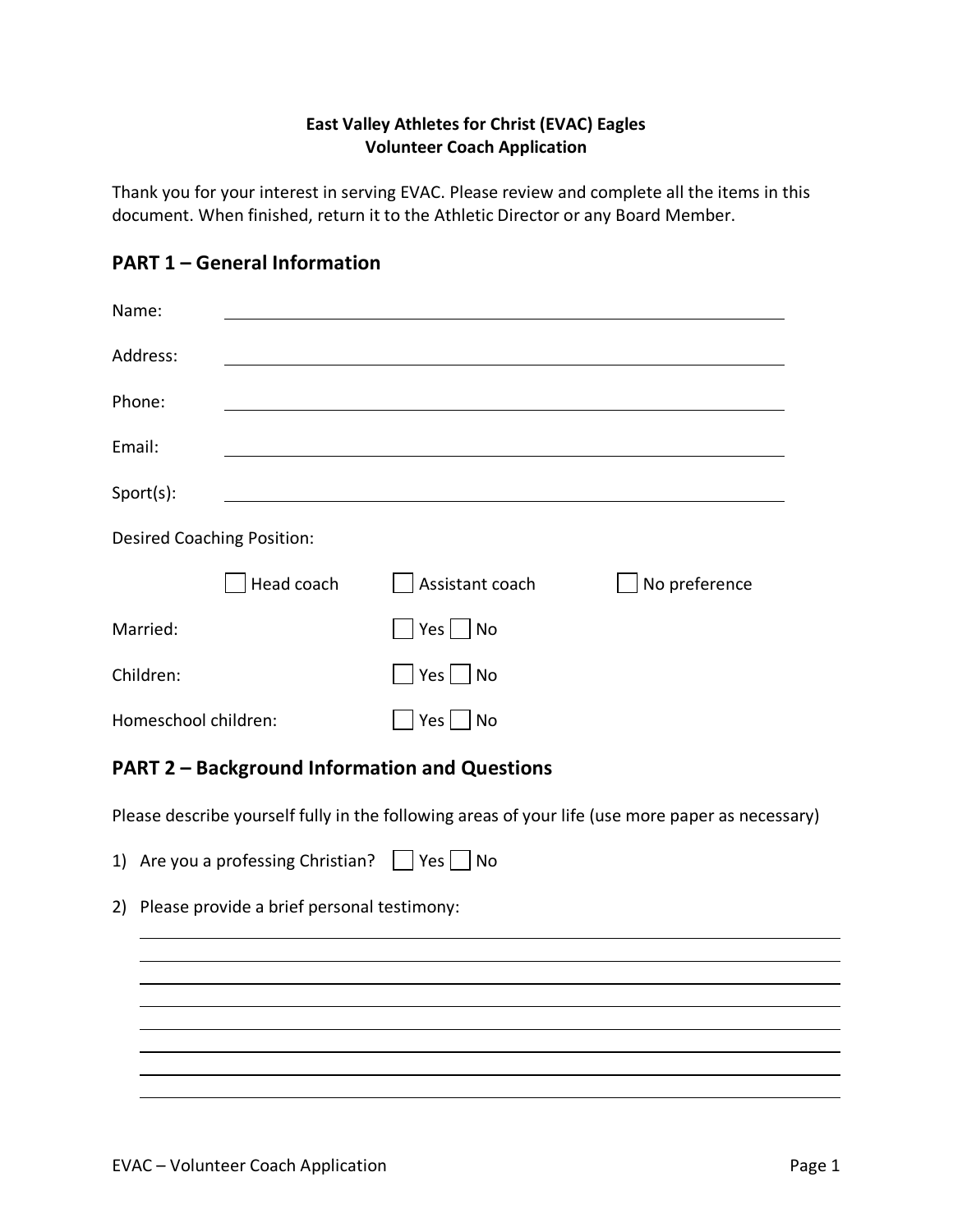### **East Valley Athletes for Christ (EVAC) Eagles Volunteer Coach Application**

Thank you for your interest in serving EVAC. Please review and complete all the items in this document. When finished, return it to the Athletic Director or any Board Member.

| Name:                             |            |                      |               |  |
|-----------------------------------|------------|----------------------|---------------|--|
| Address:                          |            |                      |               |  |
| Phone:                            |            |                      |               |  |
| Email:                            |            |                      |               |  |
| Sport(s):                         |            |                      |               |  |
| <b>Desired Coaching Position:</b> |            |                      |               |  |
|                                   | Head coach | Assistant coach      | No preference |  |
| Married:                          |            | $Yes \mid \text{No}$ |               |  |
| Children:                         |            | $Yes \mid \text{No}$ |               |  |
| Homeschool children:              |            | Yes<br>No            |               |  |

# **PART 1 – General Information**

# **PART 2 – Background Information and Questions**

Please describe yourself fully in the following areas of your life (use more paper as necessary)

- 1) Are you a professing Christian?  $\Box$  Yes  $\Box$  No
- 2) Please provide a brief personal testimony: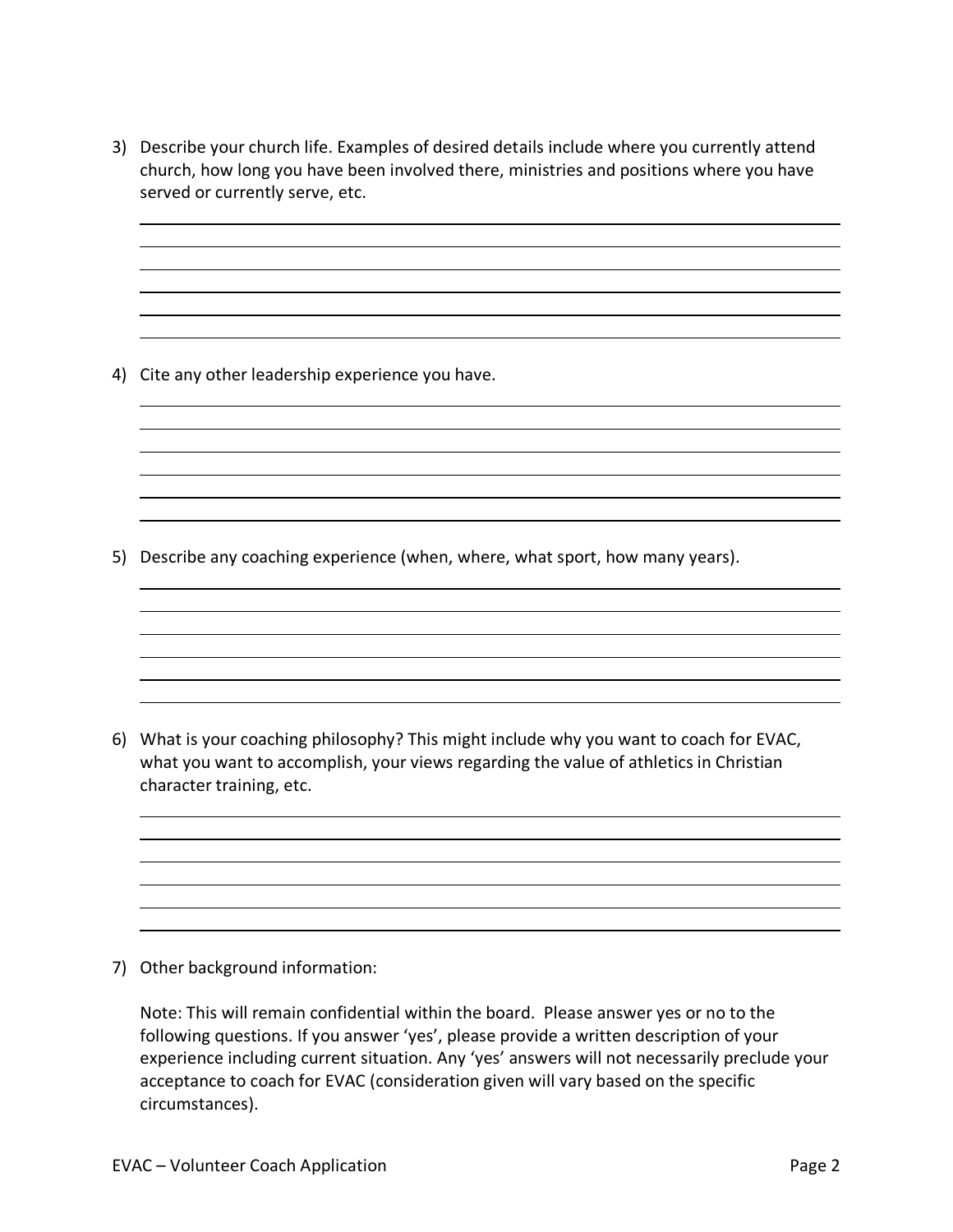3) Describe your church life. Examples of desired details include where you currently attend church, how long you have been involved there, ministries and positions where you have served or currently serve, etc.

4) Cite any other leadership experience you have.

5) Describe any coaching experience (when, where, what sport, how many years).

6) What is your coaching philosophy? This might include why you want to coach for EVAC, what you want to accomplish, your views regarding the value of athletics in Christian character training, etc.

7) Other background information:

Note: This will remain confidential within the board. Please answer yes or no to the following questions. If you answer 'yes', please provide a written description of your experience including current situation. Any 'yes' answers will not necessarily preclude your acceptance to coach for EVAC (consideration given will vary based on the specific circumstances).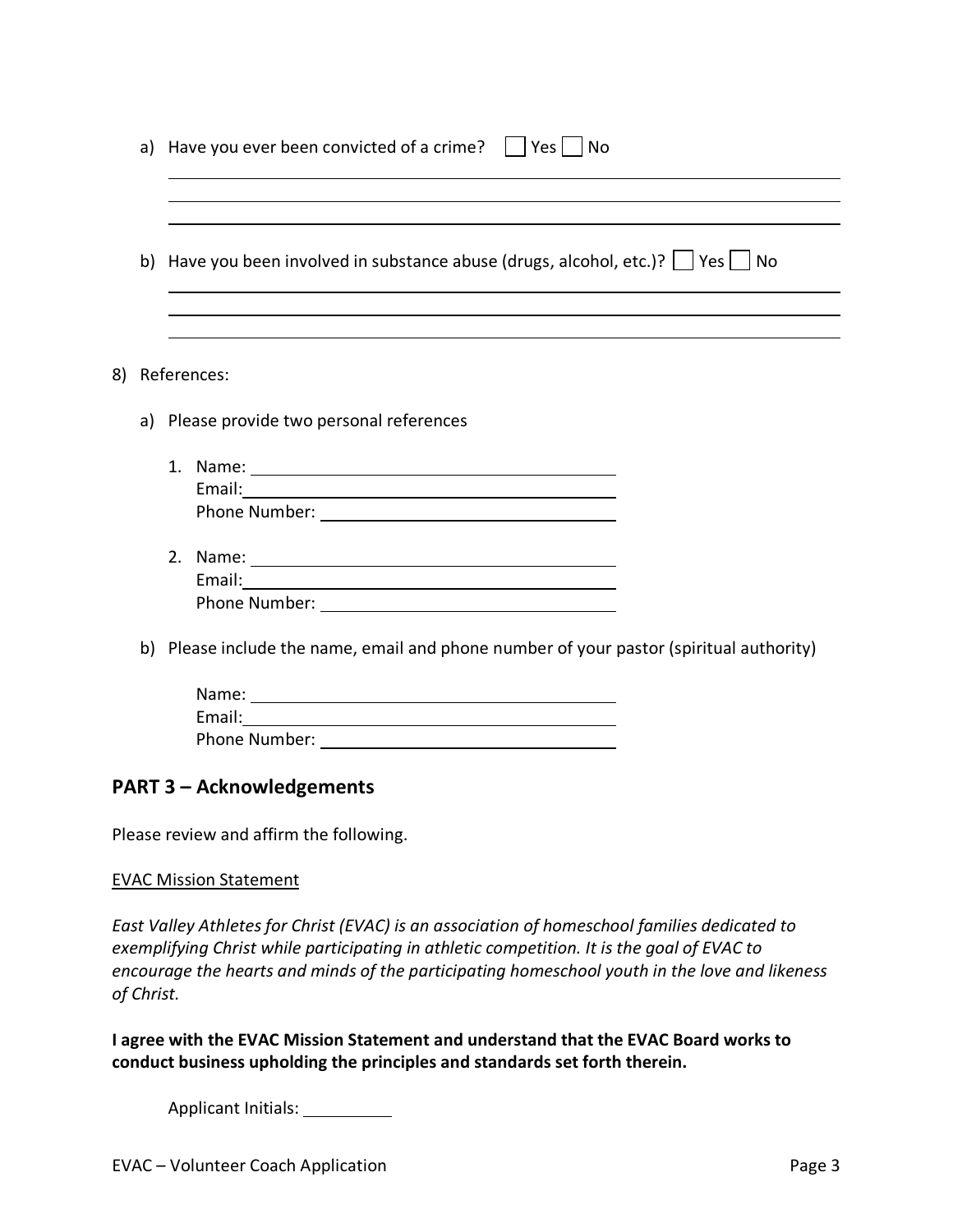|    | a) Have you ever been convicted of a crime? $\Box$<br>Yes    <br>No                                                                                                                                                              |
|----|----------------------------------------------------------------------------------------------------------------------------------------------------------------------------------------------------------------------------------|
|    |                                                                                                                                                                                                                                  |
|    | b) Have you been involved in substance abuse (drugs, alcohol, etc.)? $\Box$ Yes $\Box$ No                                                                                                                                        |
|    |                                                                                                                                                                                                                                  |
| 8) | References:                                                                                                                                                                                                                      |
|    | a) Please provide two personal references                                                                                                                                                                                        |
|    | 1. Name: 1. 2008. 2010. 2010. 2010. 2010. 2010. 2010. 2010. 2010. 2010. 2011. 2012. 2012. 2014. 2016. 2017. 20<br>2012. 2012. 2012. 2012. 2012. 2012. 2012. 2012. 2012. 2012. 2012. 2013. 2014. 2014. 2014. 2014. 2014. 2014. 20 |
|    |                                                                                                                                                                                                                                  |
|    |                                                                                                                                                                                                                                  |
|    |                                                                                                                                                                                                                                  |
|    |                                                                                                                                                                                                                                  |
|    |                                                                                                                                                                                                                                  |
|    | b) Please include the name, email and phone number of your pastor (spiritual authority)                                                                                                                                          |
|    | Name: Name and the second contract of the second contract of the second contract of the second contract of the                                                                                                                   |
|    |                                                                                                                                                                                                                                  |
|    |                                                                                                                                                                                                                                  |

## **PART 3 – Acknowledgements**

Please review and affirm the following.

#### EVAC Mission Statement

*East Valley Athletes for Christ (EVAC) is an association of homeschool families dedicated to exemplifying Christ while participating in athletic competition. It is the goal of EVAC to encourage the hearts and minds of the participating homeschool youth in the love and likeness of Christ.*

**I agree with the EVAC Mission Statement and understand that the EVAC Board works to conduct business upholding the principles and standards set forth therein.**

Applicant Initials: \_\_\_\_\_\_\_\_\_\_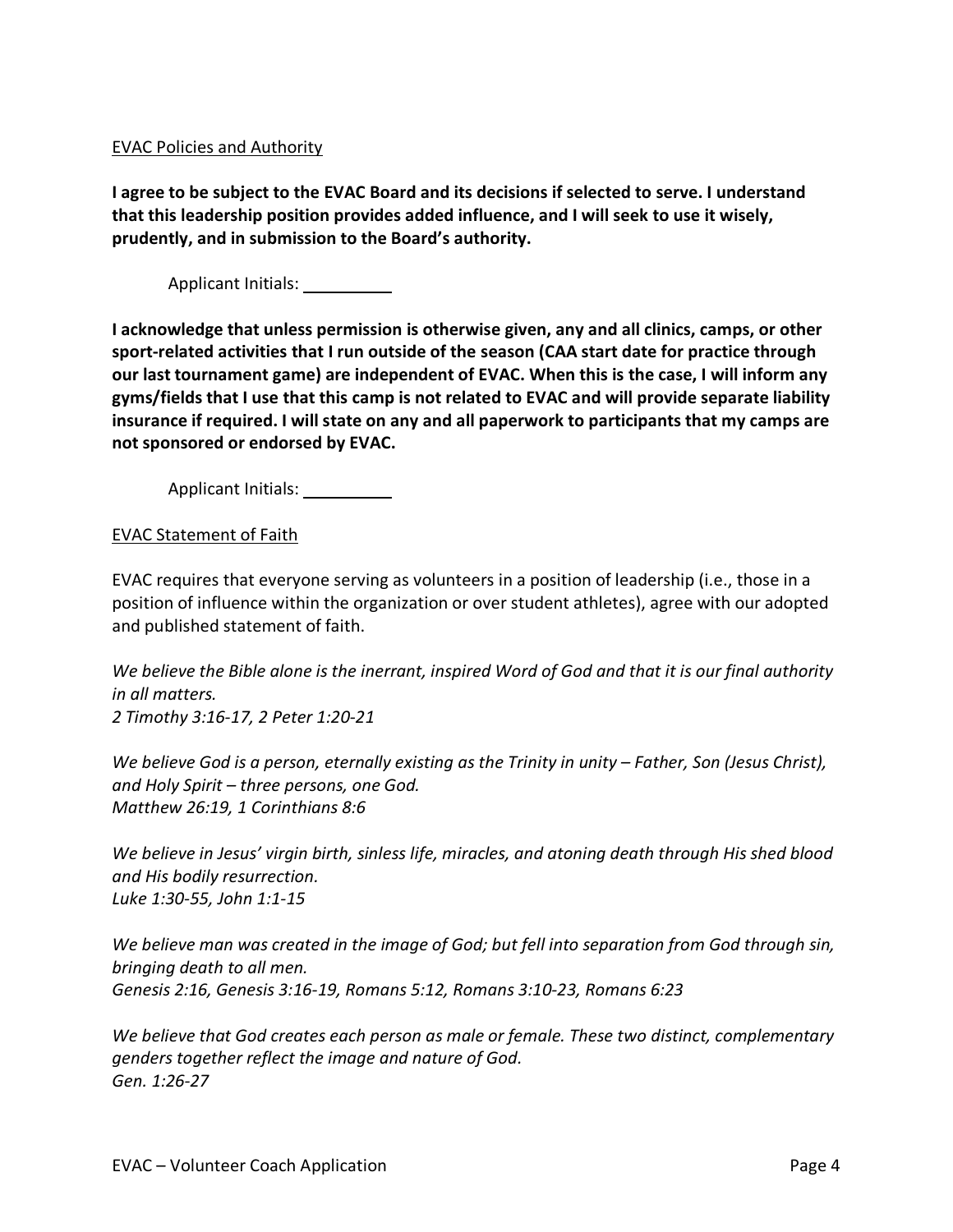### EVAC Policies and Authority

**I agree to be subject to the EVAC Board and its decisions if selected to serve. I understand that this leadership position provides added influence, and I will seek to use it wisely, prudently, and in submission to the Board's authority.**

Applicant Initials:

**I acknowledge that unless permission is otherwise given, any and all clinics, camps, or other sport-related activities that I run outside of the season (CAA start date for practice through our last tournament game) are independent of EVAC. When this is the case, I will inform any gyms/fields that I use that this camp is not related to EVAC and will provide separate liability insurance if required. I will state on any and all paperwork to participants that my camps are not sponsored or endorsed by EVAC.**

Applicant Initials:

EVAC Statement of Faith

EVAC requires that everyone serving as volunteers in a position of leadership (i.e., those in a position of influence within the organization or over student athletes), agree with our adopted and published statement of faith.

*We believe the Bible alone is the inerrant, inspired Word of God and that it is our final authority in all matters. 2 Timothy 3:16-17, 2 Peter 1:20-21* 

*We believe God is a person, eternally existing as the Trinity in unity – Father, Son (Jesus Christ), and Holy Spirit – three persons, one God. Matthew 26:19, 1 Corinthians 8:6* 

*We believe in Jesus' virgin birth, sinless life, miracles, and atoning death through His shed blood and His bodily resurrection. Luke 1:30-55, John 1:1-15* 

*We believe man was created in the image of God; but fell into separation from God through sin, bringing death to all men. Genesis 2:16, Genesis 3:16-19, Romans 5:12, Romans 3:10-23, Romans 6:23* 

*We believe that God creates each person as male or female. These two distinct, complementary genders together reflect the image and nature of God. Gen. 1:26-27*